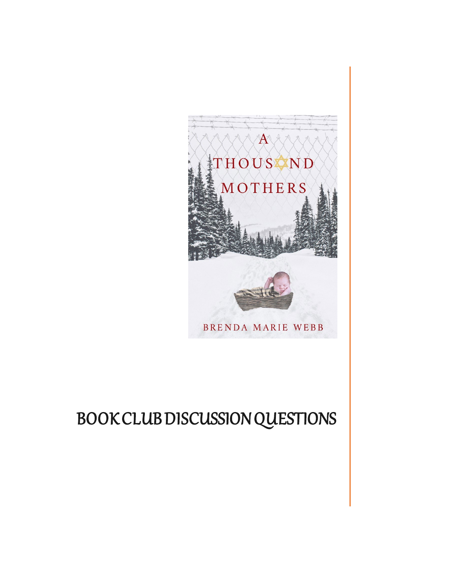

## BOOK CLUB DISCUSSION QUESTIONS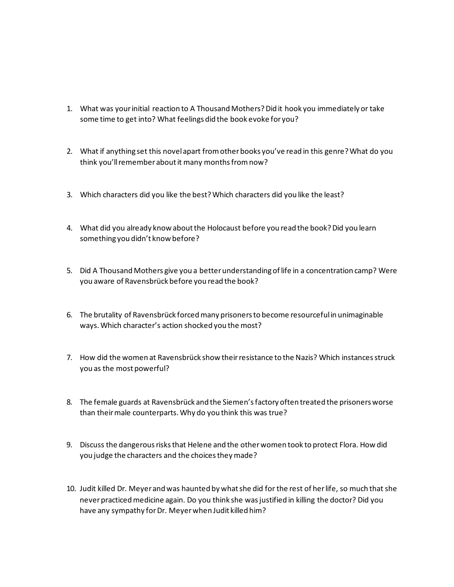- 1. What was your initial reaction to A Thousand Mothers? Did it hook you immediately or take some time to get into? What feelings did the book evoke for you?
- 2. What if anything set this novel apart from other books you've read in this genre?What do you think you'll remember about it many months from now?
- 3. Which characters did you like the best? Which characters did you like the least?
- 4. What did you already know about the Holocaust before you read the book? Did you learn something you didn't know before?
- 5. Did A Thousand Mothers give you a better understanding of life in a concentration camp? Were you aware of Ravensbrück before you read the book?
- 6. The brutality of Ravensbrück forced many prisoners to become resourceful in unimaginable ways. Which character's action shocked you the most?
- 7. How did the women at Ravensbrück show their resistance to the Nazis? Which instances struck you as the most powerful?
- 8. The female guards at Ravensbrück and the Siemen's factory often treated the prisoners worse than their male counterparts. Why do you think this was true?
- 9. Discuss the dangerous risks that Helene and the other women took to protect Flora. How did you judge the characters and the choicestheymade?
- 10. Judit killed Dr. Meyerand was haunted by what she did for the rest of her life, so much that she never practiced medicine again. Do you think she was justified in killing the doctor? Did you have any sympathy for Dr. Meyer when Judit killed him?